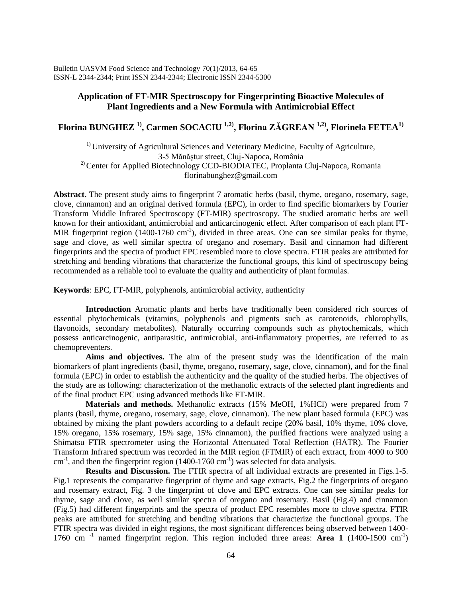Bulletin UASVM Food Science and Technology 70(1)/2013, 64-65 ISSN-L 2344-2344; Print ISSN 2344-2344; Electronic ISSN 2344-5300

## **Application of FT-MIR Spectroscopy for Fingerprinting Bioactive Molecules of Plant Ingredients and a New Formula with Antimicrobial Effect**

## **Florina BUNGHEZ 1), Carmen SOCACIU 1,2), Florina ZĂGREAN 1,2), Florinela FETEA1)**

<sup>1)</sup> University of Agricultural Sciences and Veterinary Medicine, Faculty of Agriculture, 3-5 Mănăştur street, Cluj-Napoca, România <sup>2)</sup> Center for Applied Biotechnology CCD-BIODIATEC, Proplanta Cluj-Napoca, Romania florinabunghez@gmail.com

**Abstract.** The present study aims to fingerprint 7 aromatic herbs (basil, thyme, oregano, rosemary, sage, clove, cinnamon) and an original derived formula (EPC), in order to find specific biomarkers by Fourier Transform Middle Infrared Spectroscopy (FT-MIR) spectroscopy. The studied aromatic herbs are well known for their antioxidant, antimicrobial and anticarcinogenic effect. After comparison of each plant FT-MIR fingerprint region (1400-1760 cm<sup>-1</sup>), divided in three areas. One can see similar peaks for thyme, sage and clove, as well similar spectra of oregano and rosemary. Basil and cinnamon had different fingerprints and the spectra of product EPC resembled more to clove spectra. FTIR peaks are attributed for stretching and bending vibrations that characterize the functional groups, this kind of spectroscopy being recommended as a reliable tool to evaluate the quality and authenticity of plant formulas.

**Keywords**: EPC, FT-MIR, polyphenols, antimicrobial activity, authenticity

**Introduction** Aromatic plants and herbs have traditionally been considered rich sources of essential phytochemicals (vitamins, polyphenols and pigments such as carotenoids, chlorophylls, flavonoids, secondary metabolites). Naturally occurring compounds such as phytochemicals, which possess anticarcinogenic, antiparasitic, antimicrobial, anti-inflammatory properties, are referred to as chemopreventers.

**Aims and objectives.** The aim of the present study was the identification of the main biomarkers of plant ingredients (basil, thyme, oregano, rosemary, sage, clove, cinnamon), and for the final formula (EPC) in order to establish the authenticity and the quality of the studied herbs. The objectives of the study are as following: characterization of the methanolic extracts of the selected plant ingredients and of the final product EPC using advanced methods like FT-MIR.

**Materials and methods.** Methanolic extracts (15% MeOH, 1%HCl) were prepared from 7 plants (basil, thyme, oregano, rosemary, sage, clove, cinnamon). The new plant based formula (EPC) was obtained by mixing the plant powders according to a default recipe (20% basil, 10% thyme, 10% clove, 15% oregano, 15% rosemary, 15% sage, 15% cinnamon), the purified fractions were analyzed using a Shimatsu FTIR spectrometer using the Horizontal Attenuated Total Reflection (HATR). The Fourier Transform Infrared spectrum was recorded in the MIR region (FTMIR) of each extract, from 4000 to 900  $\text{cm}^{-1}$ , and then the fingerprint region (1400-1760  $\text{cm}^{-1}$ ) was selected for data analysis.

**Results and Discussion.** The FTIR spectra of all individual extracts are presented in Figs.1-5. Fig.1 represents the comparative fingerprint of thyme and sage extracts, Fig.2 the fingerprints of oregano and rosemary extract, Fig. 3 the fingerprint of clove and EPC extracts. One can see similar peaks for thyme, sage and clove, as well similar spectra of oregano and rosemary. Basil (Fig.4) and cinnamon (Fig.5) had different fingerprints and the spectra of product EPC resembles more to clove spectra. FTIR peaks are attributed for stretching and bending vibrations that characterize the functional groups. The FTIR spectra was divided in eight regions, the most significant differences being observed between 1400- 1760 cm<sup>-1</sup> named fingerprint region. This region included three areas: **Area 1** (1400-1500 cm<sup>-1</sup>)